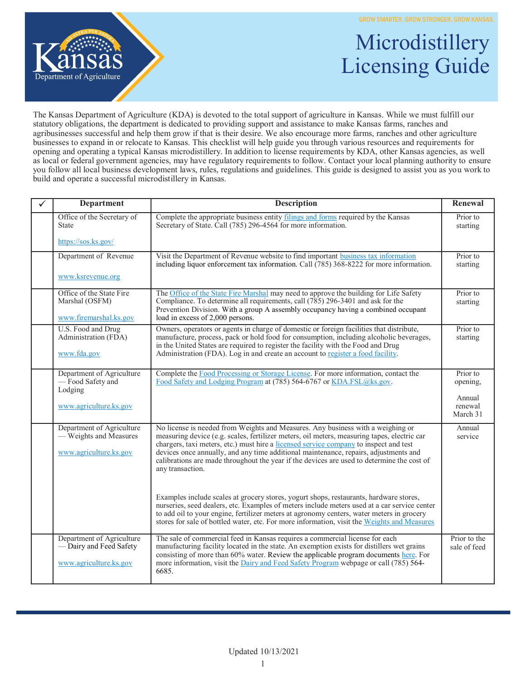

## Microdistillery Microdistillery Licensing Guide Licensing Guide

The Kansas Department of Agriculture (KDA) is devoted to the total support of agriculture in Kansas. While we must fulfill our statutory obligations, the department is dedicated to providing support and assistance to make Kansas farms, ranches and agribusinesses successful and help them grow if that is their desire. We also encourage more farms, ranches and other agriculture businesses to expand in or relocate to Kansas. This checklist will help guide you through various resources and requirements for opening and operating a typical Kansas microdistillery. In addition to license requirements by KDA, other Kansas agencies, as well as local or federal government agencies, may have regulatory requirements to follow. Contact your local planning authority to ensure you follow all local business development laws, rules, regulations and guidelines. This guide is designed to assist you as you work to build and operate a successful microdistillery in Kansas.

| ✓ | <b>Department</b>                                                              | <b>Description</b>                                                                                                                                                                                                                                                                                                                                                                                                                                                                | Renewal                       |
|---|--------------------------------------------------------------------------------|-----------------------------------------------------------------------------------------------------------------------------------------------------------------------------------------------------------------------------------------------------------------------------------------------------------------------------------------------------------------------------------------------------------------------------------------------------------------------------------|-------------------------------|
|   | Office of the Secretary of<br><b>State</b>                                     | Complete the appropriate business entity filings and forms required by the Kansas<br>Secretary of State. Call (785) 296-4564 for more information.                                                                                                                                                                                                                                                                                                                                | Prior to<br>starting          |
|   | https://sos.ks.gov/                                                            |                                                                                                                                                                                                                                                                                                                                                                                                                                                                                   |                               |
|   | Department of Revenue                                                          | Visit the Department of Revenue website to find important business tax information<br>including liquor enforcement tax information. Call (785) 368-8222 for more information.                                                                                                                                                                                                                                                                                                     | Prior to<br>starting          |
|   | www.ksrevenue.org                                                              |                                                                                                                                                                                                                                                                                                                                                                                                                                                                                   |                               |
|   | Office of the State Fire<br>Marshal (OSFM)<br>www.firemarshal.ks.gov           | The Office of the State Fire Marshal may need to approve the building for Life Safety<br>Compliance. To determine all requirements, call (785) 296-3401 and ask for the<br>Prevention Division. With a group A assembly occupancy having a combined occupant<br>load in excess of 2,000 persons.                                                                                                                                                                                  | Prior to<br>starting          |
|   | U.S. Food and Drug<br>Administration (FDA)<br>www.fda.gov                      | Owners, operators or agents in charge of domestic or foreign facilities that distribute,<br>manufacture, process, pack or hold food for consumption, including alcoholic beverages,<br>in the United States are required to register the facility with the Food and Drug<br>Administration (FDA). Log in and create an account to register a food facility.                                                                                                                       | Prior to<br>starting          |
|   | Department of Agriculture<br>- Food Safety and<br>Lodging                      | Complete the Food Processing or Storage License. For more information, contact the<br>Food Safety and Lodging Program at (785) 564-6767 or KDA.FSL@ks.gov.                                                                                                                                                                                                                                                                                                                        | Prior to<br>opening,          |
|   | www.agriculture.ks.gov                                                         |                                                                                                                                                                                                                                                                                                                                                                                                                                                                                   | Annual<br>renewal<br>March 31 |
|   | Department of Agriculture<br>- Weights and Measures<br>www.agriculture.ks.gov  | No license is needed from Weights and Measures. Any business with a weighing or<br>measuring device (e.g. scales, fertilizer meters, oil meters, measuring tapes, electric car<br>chargers, taxi meters, etc.) must hire a licensed service company to inspect and test<br>devices once annually, and any time additional maintenance, repairs, adjustments and<br>calibrations are made throughout the year if the devices are used to determine the cost of<br>any transaction. | Annual<br>service             |
|   |                                                                                | Examples include scales at grocery stores, yogurt shops, restaurants, hardware stores,<br>nurseries, seed dealers, etc. Examples of meters include meters used at a car service center<br>to add oil to your engine, fertilizer meters at agronomy centers, water meters in grocery<br>stores for sale of bottled water, etc. For more information, visit the Weights and Measures                                                                                                |                               |
|   | Department of Agriculture<br>- Dairy and Feed Safety<br>www.agriculture.ks.gov | The sale of commercial feed in Kansas requires a commercial license for each<br>manufacturing facility located in the state. An exemption exists for distillers wet grains<br>consisting of more than 60% water. Review the applicable program documents here. For<br>more information, visit the Dairy and Feed Safety Program webpage or call (785) 564-<br>6685.                                                                                                               | Prior to the<br>sale of feed  |